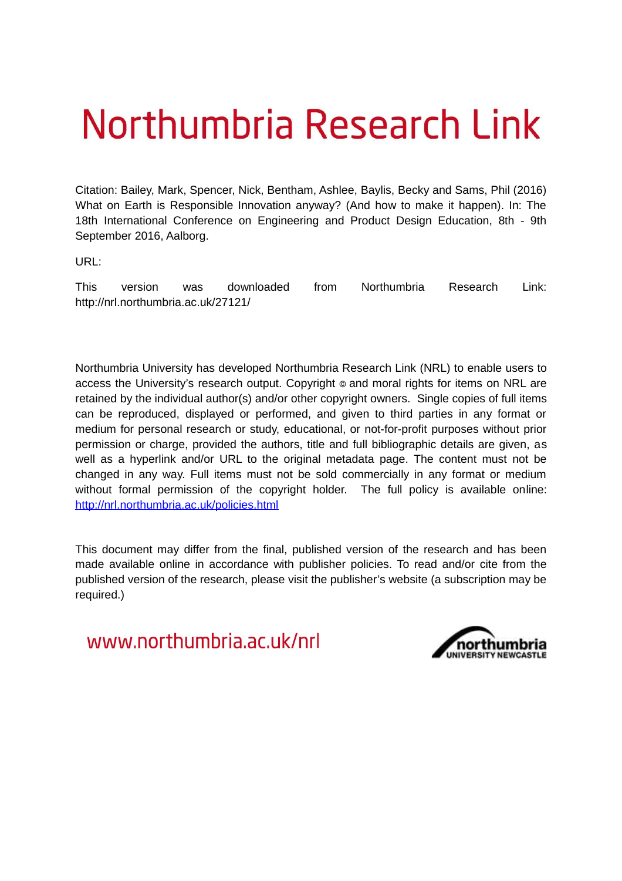# Northumbria Research Link

Citation: Bailey, Mark, Spencer, Nick, Bentham, Ashlee, Baylis, Becky and Sams, Phil (2016) What on Earth is Responsible Innovation anyway? (And how to make it happen). In: The 18th International Conference on Engineering and Product Design Education, 8th - 9th September 2016, Aalborg.

URL:

This version was downloaded from Northumbria Research Link: http://nrl.northumbria.ac.uk/27121/

Northumbria University has developed Northumbria Research Link (NRL) to enable users to access the University's research output. Copyright  $\circ$  and moral rights for items on NRL are retained by the individual author(s) and/or other copyright owners. Single copies of full items can be reproduced, displayed or performed, and given to third parties in any format or medium for personal research or study, educational, or not-for-profit purposes without prior permission or charge, provided the authors, title and full bibliographic details are given, as well as a hyperlink and/or URL to the original metadata page. The content must not be changed in any way. Full items must not be sold commercially in any format or medium without formal permission of the copyright holder. The full policy is available online: <http://nrl.northumbria.ac.uk/policies.html>

This document may differ from the final, published version of the research and has been made available online in accordance with publisher policies. To read and/or cite from the published version of the research, please visit the publisher's website (a subscription may be required.)

www.northumbria.ac.uk/nrl

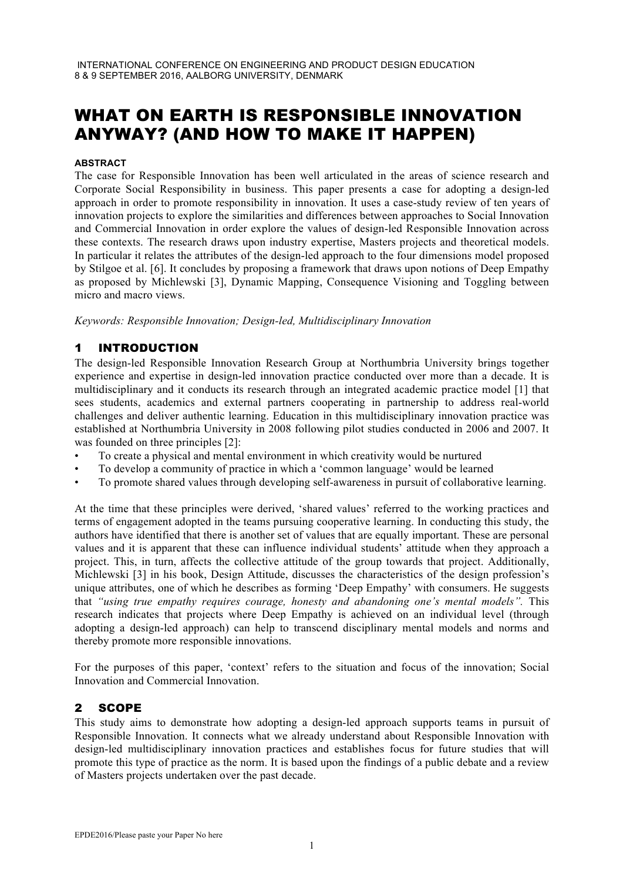# WHAT ON EARTH IS RESPONSIBLE INNOVATION ANYWAY? (AND HOW TO MAKE IT HAPPEN)

#### **ABSTRACT**

The case for Responsible Innovation has been well articulated in the areas of science research and Corporate Social Responsibility in business. This paper presents a case for adopting a design-led approach in order to promote responsibility in innovation. It uses a case-study review of ten years of innovation projects to explore the similarities and differences between approaches to Social Innovation and Commercial Innovation in order explore the values of design-led Responsible Innovation across these contexts. The research draws upon industry expertise, Masters projects and theoretical models. In particular it relates the attributes of the design-led approach to the four dimensions model proposed by Stilgoe et al. [6]. It concludes by proposing a framework that draws upon notions of Deep Empathy as proposed by Michlewski [3], Dynamic Mapping, Consequence Visioning and Toggling between micro and macro views.

*Keywords: Responsible Innovation; Design-led, Multidisciplinary Innovation*

# 1 INTRODUCTION

The design-led Responsible Innovation Research Group at Northumbria University brings together experience and expertise in design-led innovation practice conducted over more than a decade. It is multidisciplinary and it conducts its research through an integrated academic practice model [1] that sees students, academics and external partners cooperating in partnership to address real-world challenges and deliver authentic learning. Education in this multidisciplinary innovation practice was established at Northumbria University in 2008 following pilot studies conducted in 2006 and 2007. It was founded on three principles [2]:

- To create a physical and mental environment in which creativity would be nurtured
- To develop a community of practice in which a 'common language' would be learned
- To promote shared values through developing self-awareness in pursuit of collaborative learning.

At the time that these principles were derived, 'shared values' referred to the working practices and terms of engagement adopted in the teams pursuing cooperative learning. In conducting this study, the authors have identified that there is another set of values that are equally important. These are personal values and it is apparent that these can influence individual students' attitude when they approach a project. This, in turn, affects the collective attitude of the group towards that project. Additionally, Michlewski [3] in his book, Design Attitude, discusses the characteristics of the design profession's unique attributes, one of which he describes as forming 'Deep Empathy' with consumers. He suggests that *"using true empathy requires courage, honesty and abandoning one's mental models".* This research indicates that projects where Deep Empathy is achieved on an individual level (through adopting a design-led approach) can help to transcend disciplinary mental models and norms and thereby promote more responsible innovations.

For the purposes of this paper, 'context' refers to the situation and focus of the innovation; Social Innovation and Commercial Innovation.

#### 2 SCOPE

This study aims to demonstrate how adopting a design-led approach supports teams in pursuit of Responsible Innovation. It connects what we already understand about Responsible Innovation with design-led multidisciplinary innovation practices and establishes focus for future studies that will promote this type of practice as the norm. It is based upon the findings of a public debate and a review of Masters projects undertaken over the past decade.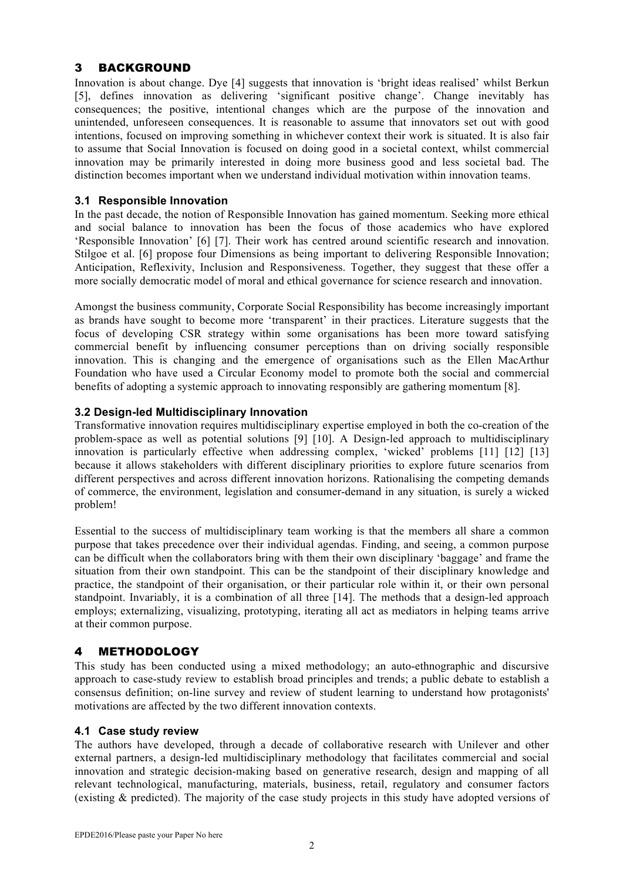### 3 BACKGROUND

Innovation is about change. Dye [4] suggests that innovation is 'bright ideas realised' whilst Berkun [5], defines innovation as delivering 'significant positive change'. Change inevitably has consequences; the positive, intentional changes which are the purpose of the innovation and unintended, unforeseen consequences. It is reasonable to assume that innovators set out with good intentions, focused on improving something in whichever context their work is situated. It is also fair to assume that Social Innovation is focused on doing good in a societal context, whilst commercial innovation may be primarily interested in doing more business good and less societal bad. The distinction becomes important when we understand individual motivation within innovation teams.

#### **3.1 Responsible Innovation**

In the past decade, the notion of Responsible Innovation has gained momentum. Seeking more ethical and social balance to innovation has been the focus of those academics who have explored 'Responsible Innovation' [6] [7]. Their work has centred around scientific research and innovation. Stilgoe et al. [6] propose four Dimensions as being important to delivering Responsible Innovation; Anticipation, Reflexivity, Inclusion and Responsiveness. Together, they suggest that these offer a more socially democratic model of moral and ethical governance for science research and innovation.

Amongst the business community, Corporate Social Responsibility has become increasingly important as brands have sought to become more 'transparent' in their practices. Literature suggests that the focus of developing CSR strategy within some organisations has been more toward satisfying commercial benefit by influencing consumer perceptions than on driving socially responsible innovation. This is changing and the emergence of organisations such as the Ellen MacArthur Foundation who have used a Circular Economy model to promote both the social and commercial benefits of adopting a systemic approach to innovating responsibly are gathering momentum [8].

#### **3.2 Design-led Multidisciplinary Innovation**

Transformative innovation requires multidisciplinary expertise employed in both the co-creation of the problem-space as well as potential solutions [9] [10]. A Design-led approach to multidisciplinary innovation is particularly effective when addressing complex, 'wicked' problems [11] [12] [13] because it allows stakeholders with different disciplinary priorities to explore future scenarios from different perspectives and across different innovation horizons. Rationalising the competing demands of commerce, the environment, legislation and consumer-demand in any situation, is surely a wicked problem!

Essential to the success of multidisciplinary team working is that the members all share a common purpose that takes precedence over their individual agendas. Finding, and seeing, a common purpose can be difficult when the collaborators bring with them their own disciplinary 'baggage' and frame the situation from their own standpoint. This can be the standpoint of their disciplinary knowledge and practice, the standpoint of their organisation, or their particular role within it, or their own personal standpoint. Invariably, it is a combination of all three [14]. The methods that a design-led approach employs; externalizing, visualizing, prototyping, iterating all act as mediators in helping teams arrive at their common purpose.

# 4 METHODOLOGY

This study has been conducted using a mixed methodology; an auto-ethnographic and discursive approach to case-study review to establish broad principles and trends; a public debate to establish a consensus definition; on-line survey and review of student learning to understand how protagonists' motivations are affected by the two different innovation contexts.

#### **4.1 Case study review**

The authors have developed, through a decade of collaborative research with Unilever and other external partners, a design-led multidisciplinary methodology that facilitates commercial and social innovation and strategic decision-making based on generative research, design and mapping of all relevant technological, manufacturing, materials, business, retail, regulatory and consumer factors (existing & predicted). The majority of the case study projects in this study have adopted versions of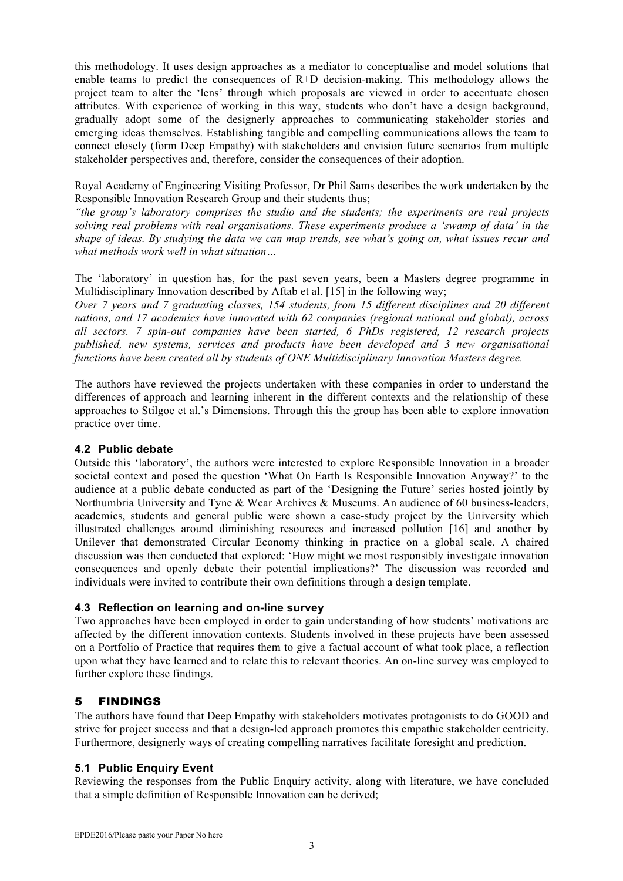this methodology. It uses design approaches as a mediator to conceptualise and model solutions that enable teams to predict the consequences of R+D decision-making. This methodology allows the project team to alter the 'lens' through which proposals are viewed in order to accentuate chosen attributes. With experience of working in this way, students who don't have a design background, gradually adopt some of the designerly approaches to communicating stakeholder stories and emerging ideas themselves. Establishing tangible and compelling communications allows the team to connect closely (form Deep Empathy) with stakeholders and envision future scenarios from multiple stakeholder perspectives and, therefore, consider the consequences of their adoption.

Royal Academy of Engineering Visiting Professor, Dr Phil Sams describes the work undertaken by the Responsible Innovation Research Group and their students thus;

*"the group's laboratory comprises the studio and the students; the experiments are real projects solving real problems with real organisations. These experiments produce a 'swamp of data' in the shape of ideas. By studying the data we can map trends, see what's going on, what issues recur and what methods work well in what situation…*

The 'laboratory' in question has, for the past seven years, been a Masters degree programme in Multidisciplinary Innovation described by Aftab et al. [15] in the following way;

*Over 7 years and 7 graduating classes, 154 students, from 15 different disciplines and 20 different nations, and 17 academics have innovated with 62 companies (regional national and global), across all sectors. 7 spin-out companies have been started, 6 PhDs registered, 12 research projects published, new systems, services and products have been developed and 3 new organisational functions have been created all by students of ONE Multidisciplinary Innovation Masters degree.*

The authors have reviewed the projects undertaken with these companies in order to understand the differences of approach and learning inherent in the different contexts and the relationship of these approaches to Stilgoe et al.'s Dimensions. Through this the group has been able to explore innovation practice over time.

#### **4.2 Public debate**

Outside this 'laboratory', the authors were interested to explore Responsible Innovation in a broader societal context and posed the question 'What On Earth Is Responsible Innovation Anyway?' to the audience at a public debate conducted as part of the 'Designing the Future' series hosted jointly by Northumbria University and Tyne & Wear Archives & Museums. An audience of 60 business-leaders, academics, students and general public were shown a case-study project by the University which illustrated challenges around diminishing resources and increased pollution [16] and another by Unilever that demonstrated Circular Economy thinking in practice on a global scale. A chaired discussion was then conducted that explored: 'How might we most responsibly investigate innovation consequences and openly debate their potential implications?' The discussion was recorded and individuals were invited to contribute their own definitions through a design template.

#### **4.3 Reflection on learning and on-line survey**

Two approaches have been employed in order to gain understanding of how students' motivations are affected by the different innovation contexts. Students involved in these projects have been assessed on a Portfolio of Practice that requires them to give a factual account of what took place, a reflection upon what they have learned and to relate this to relevant theories. An on-line survey was employed to further explore these findings.

# 5 FINDINGS

The authors have found that Deep Empathy with stakeholders motivates protagonists to do GOOD and strive for project success and that a design-led approach promotes this empathic stakeholder centricity. Furthermore, designerly ways of creating compelling narratives facilitate foresight and prediction.

#### **5.1 Public Enquiry Event**

Reviewing the responses from the Public Enquiry activity, along with literature, we have concluded that a simple definition of Responsible Innovation can be derived;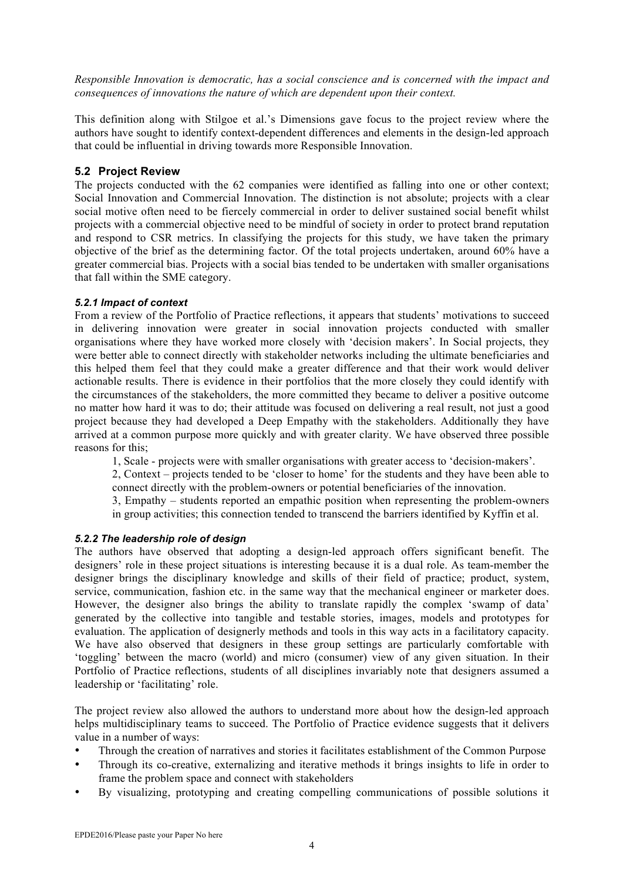*Responsible Innovation is democratic, has a social conscience and is concerned with the impact and consequences of innovations the nature of which are dependent upon their context.* 

This definition along with Stilgoe et al.'s Dimensions gave focus to the project review where the authors have sought to identify context-dependent differences and elements in the design-led approach that could be influential in driving towards more Responsible Innovation.

#### **5.2 Project Review**

The projects conducted with the 62 companies were identified as falling into one or other context; Social Innovation and Commercial Innovation. The distinction is not absolute; projects with a clear social motive often need to be fiercely commercial in order to deliver sustained social benefit whilst projects with a commercial objective need to be mindful of society in order to protect brand reputation and respond to CSR metrics. In classifying the projects for this study, we have taken the primary objective of the brief as the determining factor. Of the total projects undertaken, around 60% have a greater commercial bias. Projects with a social bias tended to be undertaken with smaller organisations that fall within the SME category.

#### *5.2.1 Impact of context*

From a review of the Portfolio of Practice reflections, it appears that students' motivations to succeed in delivering innovation were greater in social innovation projects conducted with smaller organisations where they have worked more closely with 'decision makers'. In Social projects, they were better able to connect directly with stakeholder networks including the ultimate beneficiaries and this helped them feel that they could make a greater difference and that their work would deliver actionable results. There is evidence in their portfolios that the more closely they could identify with the circumstances of the stakeholders, the more committed they became to deliver a positive outcome no matter how hard it was to do; their attitude was focused on delivering a real result, not just a good project because they had developed a Deep Empathy with the stakeholders. Additionally they have arrived at a common purpose more quickly and with greater clarity. We have observed three possible reasons for this;

1, Scale - projects were with smaller organisations with greater access to 'decision-makers'.

2, Context – projects tended to be 'closer to home' for the students and they have been able to connect directly with the problem-owners or potential beneficiaries of the innovation.

3, Empathy – students reported an empathic position when representing the problem-owners in group activities; this connection tended to transcend the barriers identified by Kyffin et al.

#### *5.2.2 The leadership role of design*

The authors have observed that adopting a design-led approach offers significant benefit. The designers' role in these project situations is interesting because it is a dual role. As team-member the designer brings the disciplinary knowledge and skills of their field of practice; product, system, service, communication, fashion etc. in the same way that the mechanical engineer or marketer does. However, the designer also brings the ability to translate rapidly the complex 'swamp of data' generated by the collective into tangible and testable stories, images, models and prototypes for evaluation. The application of designerly methods and tools in this way acts in a facilitatory capacity. We have also observed that designers in these group settings are particularly comfortable with 'toggling' between the macro (world) and micro (consumer) view of any given situation. In their Portfolio of Practice reflections, students of all disciplines invariably note that designers assumed a leadership or 'facilitating' role.

The project review also allowed the authors to understand more about how the design-led approach helps multidisciplinary teams to succeed. The Portfolio of Practice evidence suggests that it delivers value in a number of ways:

- Through the creation of narratives and stories it facilitates establishment of the Common Purpose
- Through its co-creative, externalizing and iterative methods it brings insights to life in order to frame the problem space and connect with stakeholders
- By visualizing, prototyping and creating compelling communications of possible solutions it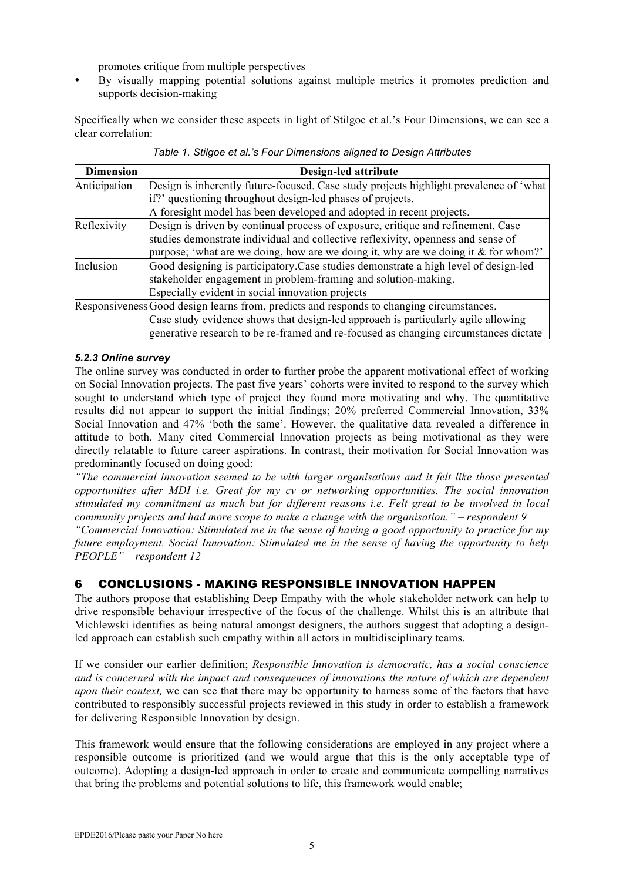promotes critique from multiple perspectives

• By visually mapping potential solutions against multiple metrics it promotes prediction and supports decision-making

Specifically when we consider these aspects in light of Stilgoe et al.'s Four Dimensions, we can see a clear correlation:

| <b>Dimension</b> | Design-led attribute                                                                     |
|------------------|------------------------------------------------------------------------------------------|
| Anticipation     | Design is inherently future-focused. Case study projects highlight prevalence of 'what   |
|                  | if?' questioning throughout design-led phases of projects.                               |
|                  | A foresight model has been developed and adopted in recent projects.                     |
| Reflexivity      | Design is driven by continual process of exposure, critique and refinement. Case         |
|                  | studies demonstrate individual and collective reflexivity, openness and sense of         |
|                  | purpose; 'what are we doing, how are we doing it, why are we doing it $\&$ for whom?'    |
| Inclusion        | Good designing is participatory. Case studies demonstrate a high level of design-led     |
|                  | stakeholder engagement in problem-framing and solution-making.                           |
|                  | Especially evident in social innovation projects                                         |
|                  | Responsiveness Good design learns from, predicts and responds to changing circumstances. |
|                  | Case study evidence shows that design-led approach is particularly agile allowing        |
|                  | generative research to be re-framed and re-focused as changing circumstances dictate     |

*Table 1. Stilgoe et al.'s Four Dimensions aligned to Design Attributes*

#### *5.2.3 Online survey*

The online survey was conducted in order to further probe the apparent motivational effect of working on Social Innovation projects. The past five years' cohorts were invited to respond to the survey which sought to understand which type of project they found more motivating and why. The quantitative results did not appear to support the initial findings; 20% preferred Commercial Innovation, 33% Social Innovation and 47% 'both the same'. However, the qualitative data revealed a difference in attitude to both. Many cited Commercial Innovation projects as being motivational as they were directly relatable to future career aspirations. In contrast, their motivation for Social Innovation was predominantly focused on doing good:

*"The commercial innovation seemed to be with larger organisations and it felt like those presented opportunities after MDI i.e. Great for my cv or networking opportunities. The social innovation stimulated my commitment as much but for different reasons i.e. Felt great to be involved in local community projects and had more scope to make a change with the organisation." – respondent 9*

*"Commercial Innovation: Stimulated me in the sense of having a good opportunity to practice for my future employment. Social Innovation: Stimulated me in the sense of having the opportunity to help PEOPLE" – respondent 12*

# 6 CONCLUSIONS - MAKING RESPONSIBLE INNOVATION HAPPEN

The authors propose that establishing Deep Empathy with the whole stakeholder network can help to drive responsible behaviour irrespective of the focus of the challenge. Whilst this is an attribute that Michlewski identifies as being natural amongst designers, the authors suggest that adopting a designled approach can establish such empathy within all actors in multidisciplinary teams.

If we consider our earlier definition; *Responsible Innovation is democratic, has a social conscience and is concerned with the impact and consequences of innovations the nature of which are dependent upon their context*, we can see that there may be opportunity to harness some of the factors that have contributed to responsibly successful projects reviewed in this study in order to establish a framework for delivering Responsible Innovation by design.

This framework would ensure that the following considerations are employed in any project where a responsible outcome is prioritized (and we would argue that this is the only acceptable type of outcome). Adopting a design-led approach in order to create and communicate compelling narratives that bring the problems and potential solutions to life, this framework would enable;